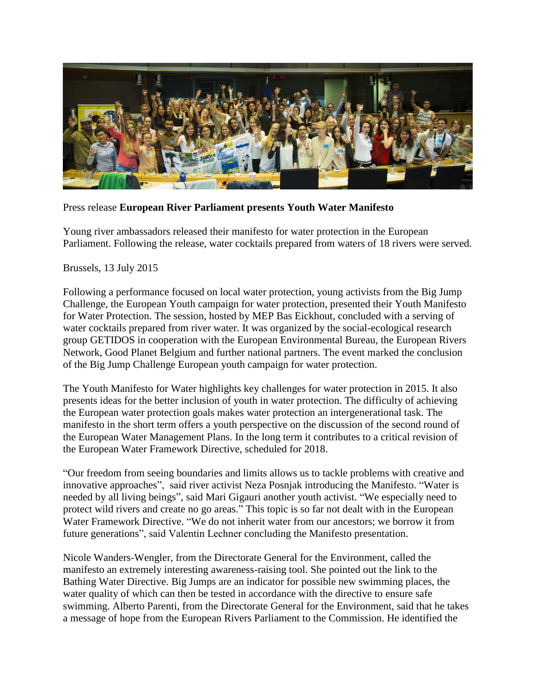

Press release **European River Parliament presents Youth Water Manifesto**

Young river ambassadors released their manifesto for water protection in the European Parliament. Following the release, water cocktails prepared from waters of 18 rivers were served.

Brussels, 13 July 2015

Following a performance focused on local water protection, young activists from the Big Jump Challenge, the European Youth campaign for water protection, presented their Youth Manifesto for Water Protection. The session, hosted by MEP Bas Eickhout, concluded with a serving of water cocktails prepared from river water. It was organized by the social-ecological research group GETIDOS in cooperation with the European Environmental Bureau, the European Rivers Network, Good Planet Belgium and further national partners. The event marked the conclusion of the Big Jump Challenge European youth campaign for water protection.

The Youth Manifesto for Water highlights key challenges for water protection in 2015. It also presents ideas for the better inclusion of youth in water protection. The difficulty of achieving the European water protection goals makes water protection an intergenerational task. The manifesto in the short term offers a youth perspective on the discussion of the second round of the European Water Management Plans. In the long term it contributes to a critical revision of the European Water Framework Directive, scheduled for 2018.

"Our freedom from seeing boundaries and limits allows us to tackle problems with creative and innovative approaches", said river activist Neza Posnjak introducing the Manifesto. "Water is needed by all living beings", said Mari Gigauri another youth activist. "We especially need to protect wild rivers and create no go areas." This topic is so far not dealt with in the European Water Framework Directive. "We do not inherit water from our ancestors; we borrow it from future generations", said Valentin Lechner concluding the Manifesto presentation.

Nicole Wanders-Wengler, from the Directorate General for the Environment, called the manifesto an extremely interesting awareness-raising tool. She pointed out the link to the Bathing Water Directive. Big Jumps are an indicator for possible new swimming places, the water quality of which can then be tested in accordance with the directive to ensure safe swimming. Alberto Parenti, from the Directorate General for the Environment, said that he takes a message of hope from the European Rivers Parliament to the Commission. He identified the